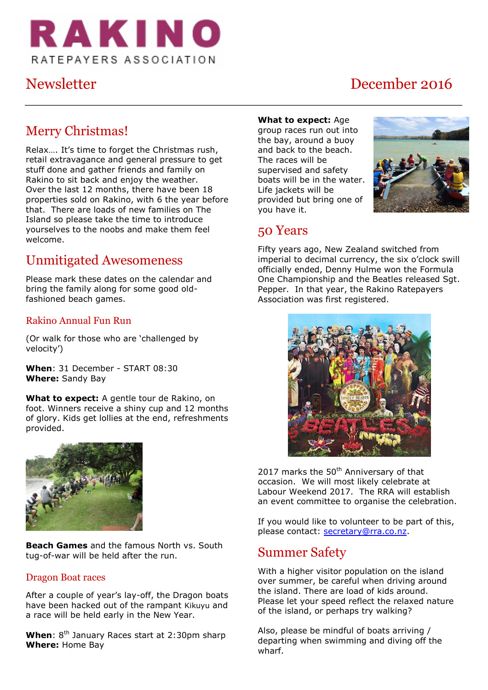

# Newsletter December 2016

# Merry Christmas!

Relax…. It's time to forget the Christmas rush, retail extravagance and general pressure to get stuff done and gather friends and family on Rakino to sit back and enjoy the weather. Over the last 12 months, there have been 18 properties sold on Rakino, with 6 the year before that. There are loads of new families on The Island so please take the time to introduce yourselves to the noobs and make them feel welcome.

# Unmitigated Awesomeness

Please mark these dates on the calendar and bring the family along for some good oldfashioned beach games.

### Rakino Annual Fun Run

(Or walk for those who are 'challenged by velocity')

**When**: 31 December - START 08:30 **Where:** Sandy Bay

**What to expect:** A gentle tour de Rakino, on foot. Winners receive a shiny cup and 12 months of glory. Kids get lollies at the end, refreshments provided.



**Beach Games** and the famous North vs. South tug-of-war will be held after the run.

#### Dragon Boat races

After a couple of year's lay-off, the Dragon boats have been hacked out of the rampant Kikuyu and a race will be held early in the New Year.

When: 8<sup>th</sup> January Races start at 2:30pm sharp **Where:** Home Bay

#### **What to expect:** Age

group races run out into the bay, around a buoy and back to the beach. The races will be supervised and safety boats will be in the water. Life jackets will be provided but bring one of you have it.



### 50 Years

Fifty years ago, New Zealand switched from imperial to decimal currency, the six o'clock swill officially ended, Denny Hulme won the Formula One Championship and the Beatles released Sgt. Pepper. In that year, the Rakino Ratepayers Association was first registered.



2017 marks the  $50<sup>th</sup>$  Anniversary of that occasion. We will most likely celebrate at Labour Weekend 2017. The RRA will establish an event committee to organise the celebration.

If you would like to volunteer to be part of this, please contact: [secretary@rra.co.nz.](mailto:secretary@rra.co.nz)

### Summer Safety

With a higher visitor population on the island over summer, be careful when driving around the island. There are load of kids around. Please let your speed reflect the relaxed nature of the island, or perhaps try walking?

Also, please be mindful of boats arriving / departing when swimming and diving off the wharf.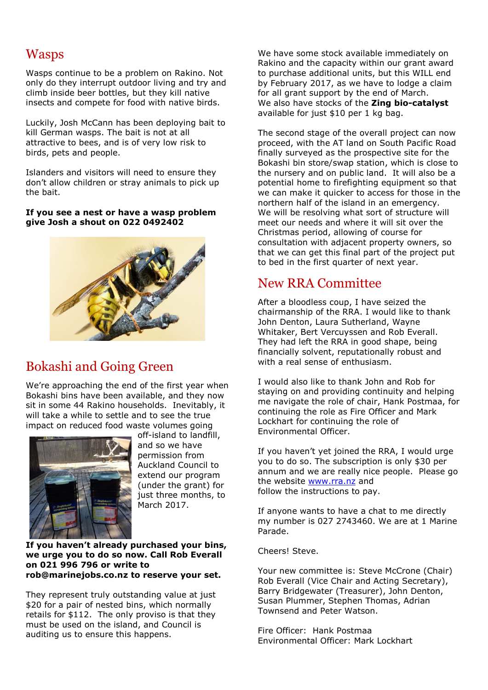# Wasps

Wasps continue to be a problem on Rakino. Not only do they interrupt outdoor living and try and climb inside beer bottles, but they kill native insects and compete for food with native birds.

Luckily, Josh McCann has been deploying bait to kill German wasps. The bait is not at all attractive to bees, and is of very low risk to birds, pets and people.

Islanders and visitors will need to ensure they don't allow children or stray animals to pick up the bait.

#### **If you see a nest or have a wasp problem give Josh a shout on 022 0492402**



# Bokashi and Going Green

We're approaching the end of the first year when Bokashi bins have been available, and they now sit in some 44 Rakino households. Inevitably, it will take a while to settle and to see the true impact on reduced food waste volumes going



off-island to landfill, and so we have permission from Auckland Council to extend our program (under the grant) for just three months, to March 2017.

#### **If you haven't already purchased your bins, we urge you to do so now. Call Rob Everall on 021 996 796 or write to [rob@marinejobs.co.nz](mailto:rob@marinejobs.co.nz) to reserve your set.**

They represent truly outstanding value at just \$20 for a pair of nested bins, which normally retails for \$112. The only proviso is that they must be used on the island, and Council is auditing us to ensure this happens.

We have some stock available immediately on Rakino and the capacity within our grant award to purchase additional units, but this WILL end by February 2017, as we have to lodge a claim for all grant support by the end of March. We also have stocks of the **Zing bio-catalyst** available for just \$10 per 1 kg bag.

The second stage of the overall project can now proceed, with the AT land on South Pacific Road finally surveyed as the prospective site for the Bokashi bin store/swap station, which is close to the nursery and on public land. It will also be a potential home to firefighting equipment so that we can make it quicker to access for those in the northern half of the island in an emergency. We will be resolving what sort of structure will meet our needs and where it will sit over the Christmas period, allowing of course for consultation with adjacent property owners, so that we can get this final part of the project put to bed in the first quarter of next year.

# New RRA Committee

After a bloodless coup, I have seized the chairmanship of the RRA. I would like to thank John Denton, Laura Sutherland, Wayne Whitaker, Bert Vercuyssen and Rob Everall. They had left the RRA in good shape, being financially solvent, reputationally robust and with a real sense of enthusiasm.

I would also like to thank John and Rob for staying on and providing continuity and helping me navigate the role of chair, Hank Postmaa, for continuing the role as Fire Officer and Mark Lockhart for continuing the role of Environmental Officer.

If you haven't yet joined the RRA, I would urge you to do so. The subscription is only \$30 per annum and we are really nice people. Please go the website [www.rra.nz](http://www.rra.nz/) and follow the instructions to pay.

If anyone wants to have a chat to me directly my number is 027 2743460. We are at 1 Marine Parade.

Cheers! Steve.

Your new committee is: Steve McCrone (Chair) Rob Everall (Vice Chair and Acting Secretary), Barry Bridgewater (Treasurer), John Denton, Susan Plummer, Stephen Thomas, Adrian Townsend and Peter Watson.

Fire Officer: Hank Postmaa Environmental Officer: Mark Lockhart